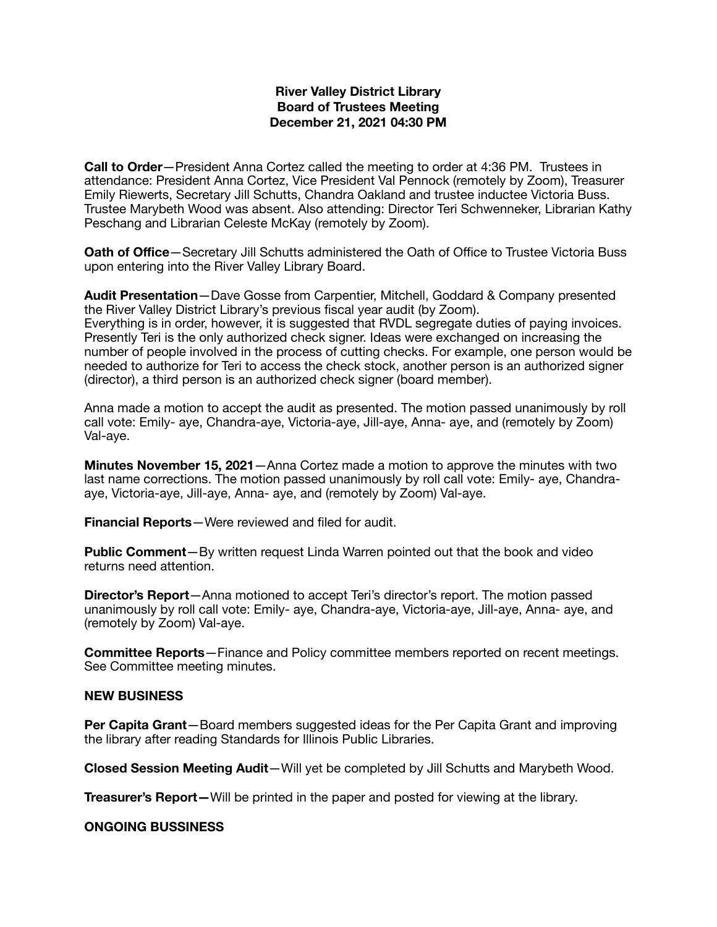## **River Valley District Library Board of Trustees Meeting December 21, 2021 04:30 PM**

**Call to Order**—President Anna Cortez called the meeting to order at 4:36 PM. Trustees in attendance: President Anna Cortez, Vice President Val Pennock (remotely by Zoom), Treasurer Emily Riewerts, Secretary Jill Schutts, Chandra Oakland and trustee inductee Victoria Buss. Trustee Marybeth Wood was absent. Also attending: Director Teri Schwenneker, Librarian Kathy Peschang and Librarian Celeste McKay (remotely by Zoom).

**Oath of Office**—Secretary Jill Schutts administered the Oath of Office to Trustee Victoria Buss upon entering into the River Valley Library Board.

**Audit Presentation**—Dave Gosse from Carpentier, Mitchell, Goddard & Company presented the River Valley District Library's previous fiscal year audit (by Zoom). Everything is in order, however, it is suggested that RVDL segregate duties of paying invoices. Presently Teri is the only authorized check signer. Ideas were exchanged on increasing the number of people involved in the process of cutting checks. For example, one person would be needed to authorize for Teri to access the check stock, another person is an authorized signer (director), a third person is an authorized check signer (board member).

Anna made a motion to accept the audit as presented. The motion passed unanimously by roll call vote: Emily- aye, Chandra-aye, Victoria-aye, Jill-aye, Anna- aye, and (remotely by Zoom) Val-aye.

**Minutes November 15, 2021**—Anna Cortez made a motion to approve the minutes with two last name corrections. The motion passed unanimously by roll call vote: Emily- aye, Chandraaye, Victoria-aye, Jill-aye, Anna- aye, and (remotely by Zoom) Val-aye.

**Financial Reports**—Were reviewed and filed for audit.

**Public Comment**—By written request Linda Warren pointed out that the book and video returns need attention.

**Director's Report**—Anna motioned to accept Teri's director's report. The motion passed unanimously by roll call vote: Emily- aye, Chandra-aye, Victoria-aye, Jill-aye, Anna- aye, and (remotely by Zoom) Val-aye.

**Committee Reports**—Finance and Policy committee members reported on recent meetings. See Committee meeting minutes.

## **NEW BUSINESS**

**Per Capita Grant**—Board members suggested ideas for the Per Capita Grant and improving the library after reading Standards for Illinois Public Libraries.

**Closed Session Meeting Audit**—Will yet be completed by Jill Schutts and Marybeth Wood.

**Treasurer's Report—**Will be printed in the paper and posted for viewing at the library.

## **ONGOING BUSSINESS**